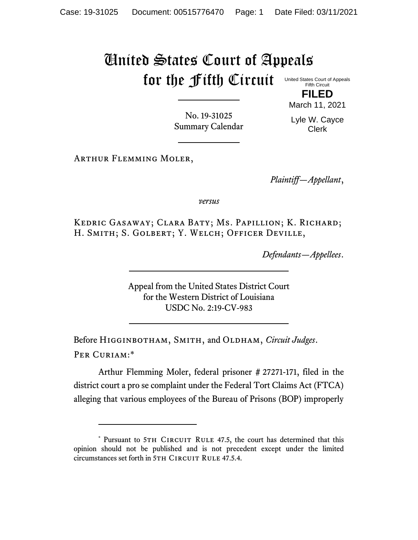## United States Court of Appeals for the Fifth Circuit

United States Court of Appeals Fifth Circuit **FILED**

No. 19-31025 Summary Calendar March 11, 2021 Lyle W. Cayce

Clerk

Arthur Flemming Moler,

*Plaintiff—Appellant*,

*versus*

Kedric Gasaway; Clara Baty; Ms. Papillion; K. Richard; H. SMITH; S. GOLBERT; Y. WELCH; OFFICER DEVILLE,

*Defendants—Appellees*.

Appeal from the United States District Court for the Western District of Louisiana USDC No. 2:19-CV-983

Before Higginbotham, Smith, and Oldham, *Circuit Judges*. Per Curiam:\*

Arthur Flemming Moler, federal prisoner # 27271-171, filed in the district court a pro se complaint under the Federal Tort Claims Act (FTCA) alleging that various employees of the Bureau of Prisons (BOP) improperly

<sup>\*</sup> Pursuant to 5TH CIRCUIT RULE 47.5, the court has determined that this opinion should not be published and is not precedent except under the limited circumstances set forth in 5TH CIRCUIT RULE 47.5.4.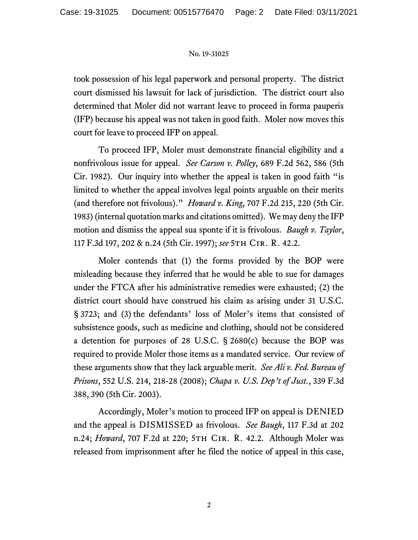## No. 19-31025

took possession of his legal paperwork and personal property. The district court dismissed his lawsuit for lack of jurisdiction. The district court also determined that Moler did not warrant leave to proceed in forma pauperis (IFP) because his appeal was not taken in good faith. Moler now moves this court for leave to proceed IFP on appeal.

To proceed IFP, Moler must demonstrate financial eligibility and a nonfrivolous issue for appeal. *See Carson v. Polley*, 689 F.2d 562, 586 (5th Cir. 1982). Our inquiry into whether the appeal is taken in good faith "is limited to whether the appeal involves legal points arguable on their merits (and therefore not frivolous)." *Howard v. King*, 707 F.2d 215, 220 (5th Cir. 1983) (internal quotation marks and citations omitted). We may deny the IFP motion and dismiss the appeal sua sponte if it is frivolous. *Baugh v. Taylor*, 117 F.3d 197, 202 & n.24 (5th Cir. 1997); *see* 5th Cir. R. 42.2.

Moler contends that (1) the forms provided by the BOP were misleading because they inferred that he would be able to sue for damages under the FTCA after his administrative remedies were exhausted; (2) the district court should have construed his claim as arising under 31 U.S.C. § 3723; and (3) the defendants' loss of Moler's items that consisted of subsistence goods, such as medicine and clothing, should not be considered a detention for purposes of 28 U.S.C. § 2680(c) because the BOP was required to provide Moler those items as a mandated service. Our review of these arguments show that they lack arguable merit. *See Ali v. Fed. Bureau of Prisons*, 552 U.S. 214, 218-28 (2008); *Chapa v. U.S. Dep't of Just.*, 339 F.3d 388, 390 (5th Cir. 2003).

Accordingly, Moler's motion to proceed IFP on appeal is DENIED and the appeal is DISMISSED as frivolous. *See Baugh*, 117 F.3d at 202 n.24; *Howard*, 707 F.2d at 220; 5TH CIR. R. 42.2. Although Moler was released from imprisonment after he filed the notice of appeal in this case,